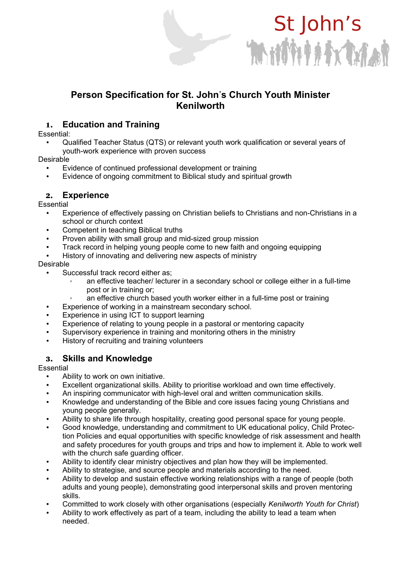# Mitheatras

St John's

# **Person Specification for St. John**'**s Church Youth Minister Kenilworth**

## 1. **Education and Training**

Essential:

• Qualified Teacher Status (QTS) or relevant youth work qualification or several years of youth-work experience with proven success

Desirable

- Evidence of continued professional development or training
- Evidence of ongoing commitment to Biblical study and spiritual growth

## 2. **Experience**

Essential

- Experience of effectively passing on Christian beliefs to Christians and non-Christians in a school or church context
- Competent in teaching Biblical truths
- Proven ability with small group and mid-sized group mission
- Track record in helping young people come to new faith and ongoing equipping
- History of innovating and delivering new aspects of ministry

#### Desirable

- Successful track record either as:
	- an effective teacher/ lecturer in a secondary school or college either in a full-time post or in training or;
	- an effective church based youth worker either in a full-time post or training
- Experience of working in a mainstream secondary school.
- Experience in using ICT to support learning
- Experience of relating to young people in a pastoral or mentoring capacity
- Supervisory experience in training and monitoring others in the ministry
- History of recruiting and training volunteers

## 3. **Skills and Knowledge**

#### **Essential**

- Ability to work on own initiative.
- Excellent organizational skills. Ability to prioritise workload and own time effectively.
- An inspiring communicator with high-level oral and written communication skills.
- Knowledge and understanding of the Bible and core issues facing young Christians and young people generally.
- Ability to share life through hospitality, creating good personal space for young people.
- Good knowledge, understanding and commitment to UK educational policy, Child Protection Policies and equal opportunities with specific knowledge of risk assessment and health and safety procedures for youth groups and trips and how to implement it. Able to work well with the church safe guarding officer.
- Ability to identify clear ministry objectives and plan how they will be implemented.
- Ability to strategise, and source people and materials according to the need.
- Ability to develop and sustain effective working relationships with a range of people (both adults and young people), demonstrating good interpersonal skills and proven mentoring skills.
- Committed to work closely with other organisations (especially *Kenilworth Youth for Christ*)
- Ability to work effectively as part of a team, including the ability to lead a team when needed.